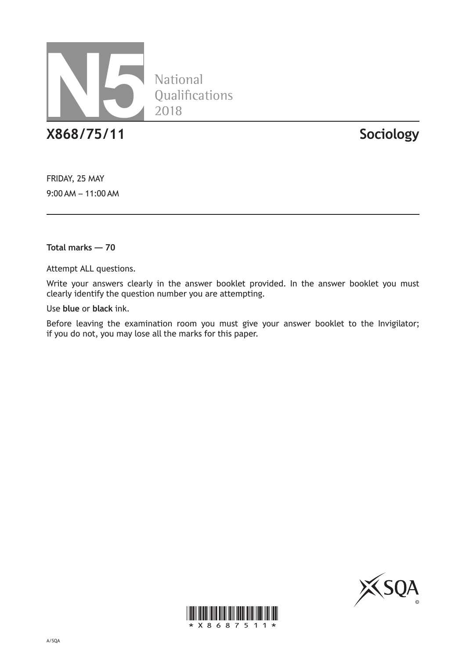

National Qualifications 2018

**X868/75/11 Sociology**

FRIDAY, 25 MAY 9:00 AM – 11:00 AM

**Total marks — 70**

Attempt ALL questions.

Write your answers clearly in the answer booklet provided. In the answer booklet you must clearly identify the question number you are attempting.

Use **blue** or **black** ink.

Before leaving the examination room you must give your answer booklet to the Invigilator; if you do not, you may lose all the marks for this paper.



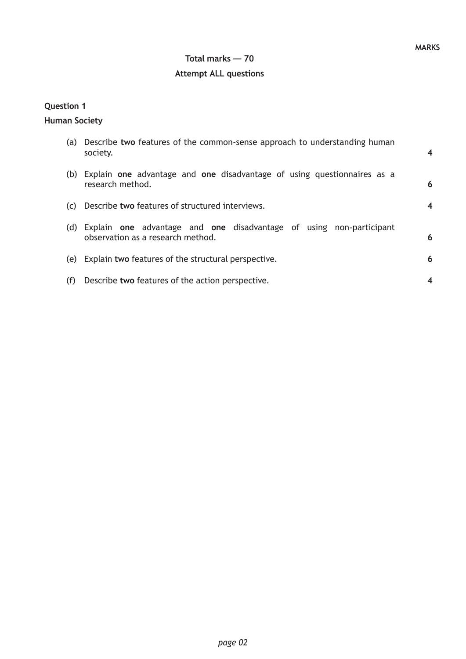### **Total marks — 70**

### **Attempt ALL questions**

## **Question 1**

#### **Human Society**

|     | (a) Describe two features of the common-sense approach to understanding human<br>society.                    | $\overline{\mathbf{4}}$ |
|-----|--------------------------------------------------------------------------------------------------------------|-------------------------|
|     | (b) Explain one advantage and one disadvantage of using questionnaires as a<br>research method.              | 6                       |
|     | (c) Describe two features of structured interviews.                                                          | 4                       |
|     | (d) Explain one advantage and one disadvantage of using non-participant<br>observation as a research method. | 6                       |
|     | (e) Explain two features of the structural perspective.                                                      | 6                       |
| (f) | Describe two features of the action perspective.                                                             |                         |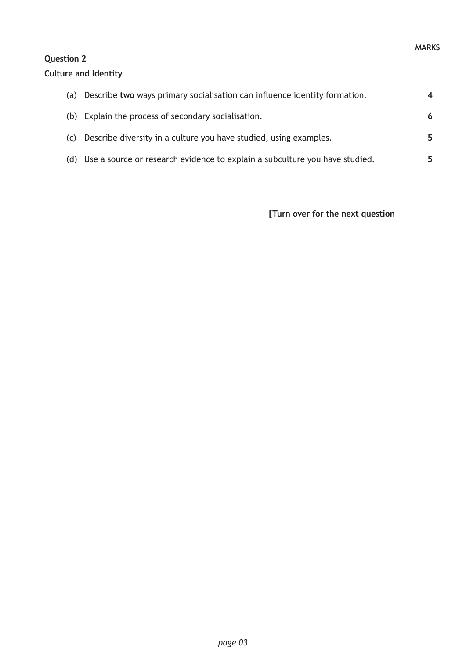# **Question 2**

#### **Culture and Identity**

| (a) | Describe two ways primary socialisation can influence identity formation.       | $\boldsymbol{4}$ |
|-----|---------------------------------------------------------------------------------|------------------|
|     | (b) Explain the process of secondary socialisation.                             | 6                |
| (C) | Describe diversity in a culture you have studied, using examples.               | 5                |
|     | (d) Use a source or research evidence to explain a subculture you have studied. | 5                |

**[Turn over for the next question**